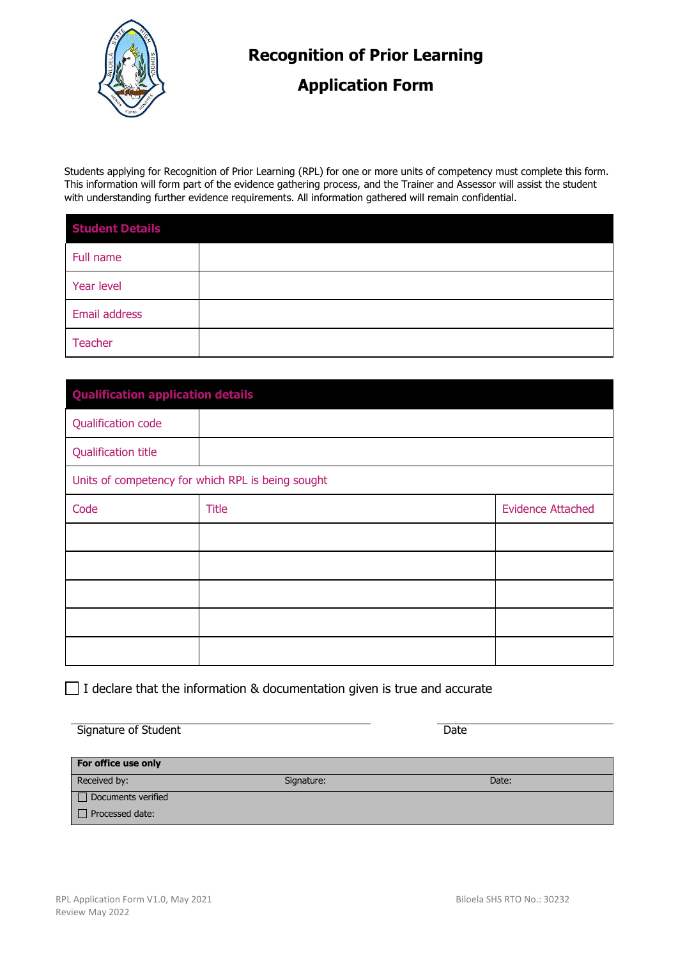

## **Recognition of Prior Learning**

## **Application Form**

Students applying for Recognition of Prior Learning (RPL) for one or more units of competency must complete this form. This information will form part of the evidence gathering process, and the Trainer and Assessor will assist the student with understanding further evidence requirements. All information gathered will remain confidential.

| <b>Student Details</b> |  |
|------------------------|--|
| Full name              |  |
| Year level             |  |
| Email address          |  |
| <b>Teacher</b>         |  |

| <b>Qualification application details</b>          |              |                          |  |
|---------------------------------------------------|--------------|--------------------------|--|
| Qualification code                                |              |                          |  |
| <b>Qualification title</b>                        |              |                          |  |
| Units of competency for which RPL is being sought |              |                          |  |
| Code                                              | <b>Title</b> | <b>Evidence Attached</b> |  |
|                                                   |              |                          |  |
|                                                   |              |                          |  |
|                                                   |              |                          |  |
|                                                   |              |                          |  |
|                                                   |              |                          |  |

 $\Box$  I declare that the information & documentation given is true and accurate

| Signature of Student | Date |
|----------------------|------|
|                      |      |

| For office use only |            |       |
|---------------------|------------|-------|
| Received by:        | Signature: | Date: |
| Documents verified  |            |       |
| D Processed date:   |            |       |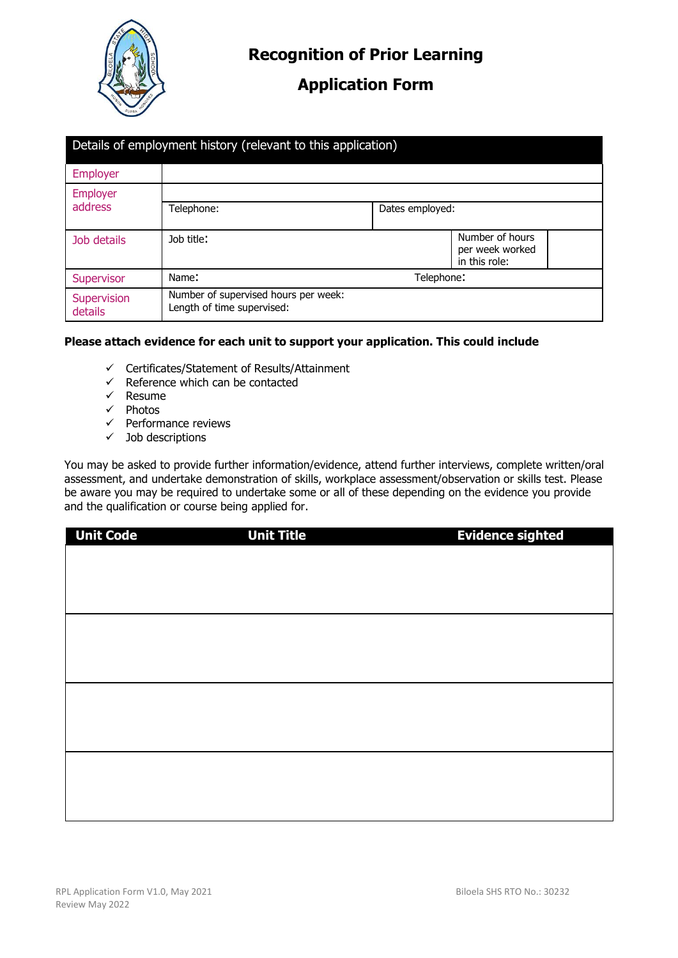

### **Application Form**

| Details of employment history (relevant to this application) |                                                                    |                 |                                                     |
|--------------------------------------------------------------|--------------------------------------------------------------------|-----------------|-----------------------------------------------------|
| <b>Employer</b>                                              |                                                                    |                 |                                                     |
| Employer                                                     |                                                                    |                 |                                                     |
| <b>address</b>                                               | Telephone:                                                         | Dates employed: |                                                     |
| Job details                                                  | Job title:                                                         |                 | Number of hours<br>per week worked<br>in this role: |
| Supervisor                                                   | Name:<br>Telephone:                                                |                 |                                                     |
| Supervision<br>details                                       | Number of supervised hours per week:<br>Length of time supervised: |                 |                                                     |

#### **Please attach evidence for each unit to support your application. This could include**

- $\checkmark$  Certificates/Statement of Results/Attainment
- $\checkmark$  Reference which can be contacted
- $\checkmark$  Resume
- $\checkmark$  Photos
- $\checkmark$  Performance reviews
- $\checkmark$  Job descriptions

You may be asked to provide further information/evidence, attend further interviews, complete written/oral assessment, and undertake demonstration of skills, workplace assessment/observation or skills test. Please be aware you may be required to undertake some or all of these depending on the evidence you provide and the qualification or course being applied for.

| <b>Unit Code</b> | <b>Unit Title</b> | <b>Evidence sighted</b> |
|------------------|-------------------|-------------------------|
|                  |                   |                         |
|                  |                   |                         |
|                  |                   |                         |
|                  |                   |                         |
|                  |                   |                         |
|                  |                   |                         |
|                  |                   |                         |
|                  |                   |                         |
|                  |                   |                         |
|                  |                   |                         |
|                  |                   |                         |
|                  |                   |                         |
|                  |                   |                         |
|                  |                   |                         |
|                  |                   |                         |
|                  |                   |                         |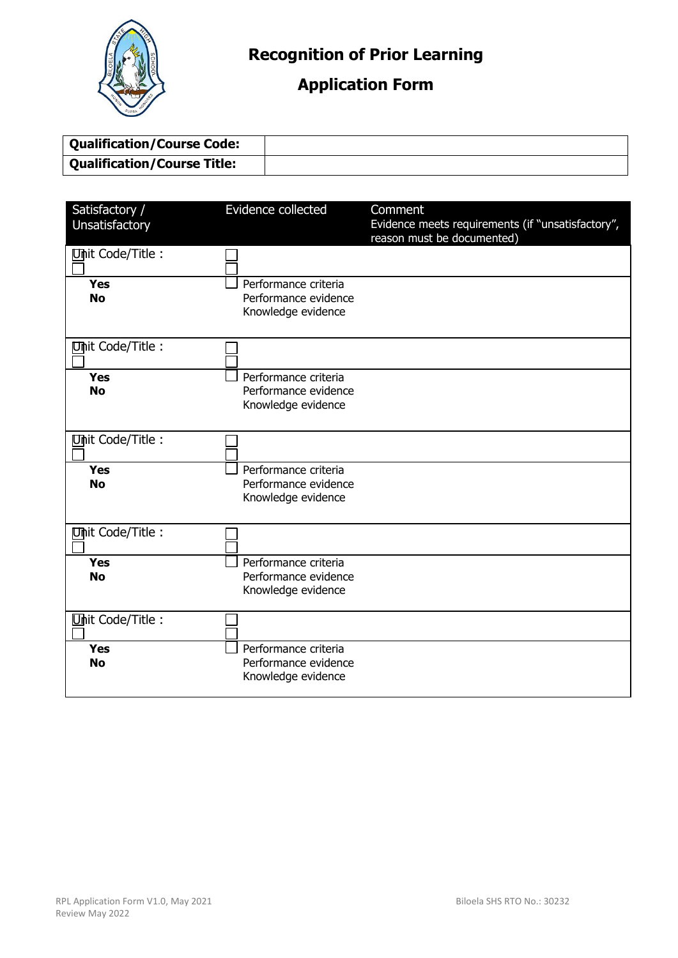

# **Application Form**

| <b>Qualification/Course Code:</b> |  |
|-----------------------------------|--|
| Qualification/Course Title:       |  |

| Satisfactory /<br>Unsatisfactory | Evidence collected                                                 | Comment<br>Evidence meets requirements (if "unsatisfactory",<br>reason must be documented) |
|----------------------------------|--------------------------------------------------------------------|--------------------------------------------------------------------------------------------|
| Unit Code/Title:                 |                                                                    |                                                                                            |
| <b>Yes</b><br><b>No</b>          | Performance criteria<br>Performance evidence<br>Knowledge evidence |                                                                                            |
| Unit Code/Title:                 |                                                                    |                                                                                            |
| <b>Yes</b><br><b>No</b>          | Performance criteria<br>Performance evidence<br>Knowledge evidence |                                                                                            |
| Unit Code/Title:                 |                                                                    |                                                                                            |
| <b>Yes</b><br><b>No</b>          | Performance criteria<br>Performance evidence<br>Knowledge evidence |                                                                                            |
| Unit Code/Title:                 |                                                                    |                                                                                            |
| <b>Yes</b><br><b>No</b>          | Performance criteria<br>Performance evidence<br>Knowledge evidence |                                                                                            |
| Unit Code/Title:                 |                                                                    |                                                                                            |
| <b>Yes</b><br><b>No</b>          | Performance criteria<br>Performance evidence<br>Knowledge evidence |                                                                                            |